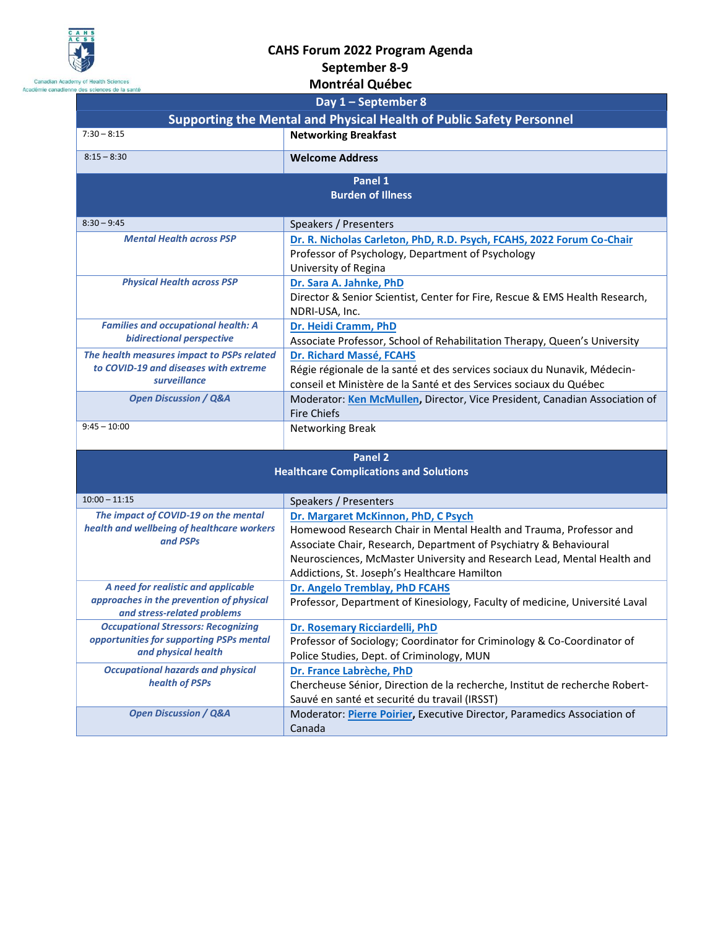

Canadian Acade<br>Académie canadienn

## **CAHS Forum 2022 Program Agenda**

## **September 8-9**

| emy of Health Sciences<br>e des sciences de la santé                                                           | <b>Montréal Québec</b>                                                                                                                                                                                                                                                                                    |  |
|----------------------------------------------------------------------------------------------------------------|-----------------------------------------------------------------------------------------------------------------------------------------------------------------------------------------------------------------------------------------------------------------------------------------------------------|--|
|                                                                                                                | Day $1$ – September 8                                                                                                                                                                                                                                                                                     |  |
| <b>Supporting the Mental and Physical Health of Public Safety Personnel</b>                                    |                                                                                                                                                                                                                                                                                                           |  |
| $7:30 - 8:15$                                                                                                  | <b>Networking Breakfast</b>                                                                                                                                                                                                                                                                               |  |
| $8:15 - 8:30$                                                                                                  | <b>Welcome Address</b>                                                                                                                                                                                                                                                                                    |  |
| Panel 1<br><b>Burden of Illness</b>                                                                            |                                                                                                                                                                                                                                                                                                           |  |
| $8:30 - 9:45$                                                                                                  | Speakers / Presenters                                                                                                                                                                                                                                                                                     |  |
| <b>Mental Health across PSP</b>                                                                                | Dr. R. Nicholas Carleton, PhD, R.D. Psych, FCAHS, 2022 Forum Co-Chair<br>Professor of Psychology, Department of Psychology<br>University of Regina                                                                                                                                                        |  |
| <b>Physical Health across PSP</b>                                                                              | Dr. Sara A. Jahnke, PhD<br>Director & Senior Scientist, Center for Fire, Rescue & EMS Health Research,<br>NDRI-USA, Inc.                                                                                                                                                                                  |  |
| <b>Families and occupational health: A</b><br><b>bidirectional perspective</b>                                 | Dr. Heidi Cramm, PhD<br>Associate Professor, School of Rehabilitation Therapy, Queen's University                                                                                                                                                                                                         |  |
| The health measures impact to PSPs related<br>to COVID-19 and diseases with extreme<br>surveillance            | Dr. Richard Massé, FCAHS<br>Régie régionale de la santé et des services sociaux du Nunavik, Médecin-<br>conseil et Ministère de la Santé et des Services sociaux du Québec                                                                                                                                |  |
| <b>Open Discussion / Q&amp;A</b>                                                                               | Moderator: Ken McMullen, Director, Vice President, Canadian Association of<br><b>Fire Chiefs</b>                                                                                                                                                                                                          |  |
| $9:45 - 10:00$                                                                                                 | <b>Networking Break</b>                                                                                                                                                                                                                                                                                   |  |
| <b>Panel 2</b><br><b>Healthcare Complications and Solutions</b>                                                |                                                                                                                                                                                                                                                                                                           |  |
| $10:00 - 11:15$                                                                                                | Speakers / Presenters                                                                                                                                                                                                                                                                                     |  |
| The impact of COVID-19 on the mental<br>health and wellbeing of healthcare workers<br>and PSPs                 | Dr. Margaret McKinnon, PhD, C Psych<br>Homewood Research Chair in Mental Health and Trauma, Professor and<br>Associate Chair, Research, Department of Psychiatry & Behavioural<br>Neurosciences, McMaster University and Research Lead, Mental Health and<br>Addictions, St. Joseph's Healthcare Hamilton |  |
| A need for realistic and applicable<br>approaches in the prevention of physical<br>and stress-related problems | Dr. Angelo Tremblay, PhD FCAHS<br>Professor, Department of Kinesiology, Faculty of medicine, Université Laval                                                                                                                                                                                             |  |
| <b>Occupational Stressors: Recognizing</b><br>opportunities for supporting PSPs mental<br>and physical health  | Dr. Rosemary Ricciardelli, PhD<br>Professor of Sociology; Coordinator for Criminology & Co-Coordinator of<br>Police Studies, Dept. of Criminology, MUN                                                                                                                                                    |  |
| <b>Occupational hazards and physical</b><br>health of PSPs                                                     | Dr. France Labrèche, PhD<br>Chercheuse Sénior, Direction de la recherche, Institut de recherche Robert-<br>Sauvé en santé et securité du travail (IRSST)                                                                                                                                                  |  |
| <b>Open Discussion / Q&amp;A</b>                                                                               | Moderator: Pierre Poirier, Executive Director, Paramedics Association of<br>Canada                                                                                                                                                                                                                        |  |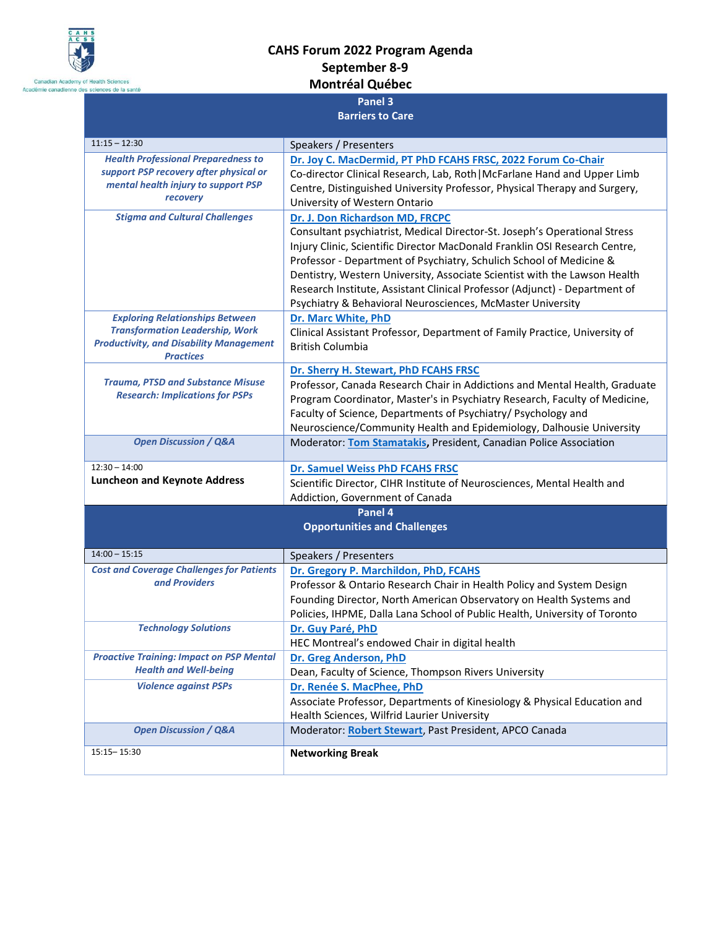

## **CAHS Forum 2022 Program Agenda September 8-9 Montréal Québec**

| es sciences de la santé                                            |                                                                            |  |
|--------------------------------------------------------------------|----------------------------------------------------------------------------|--|
| Panel 3                                                            |                                                                            |  |
| <b>Barriers to Care</b>                                            |                                                                            |  |
|                                                                    |                                                                            |  |
| $11:15 - 12:30$                                                    | Speakers / Presenters                                                      |  |
| <b>Health Professional Preparedness to</b>                         | Dr. Joy C. MacDermid, PT PhD FCAHS FRSC, 2022 Forum Co-Chair               |  |
| support PSP recovery after physical or                             | Co-director Clinical Research, Lab, Roth   McFarlane Hand and Upper Limb   |  |
| mental health injury to support PSP                                | Centre, Distinguished University Professor, Physical Therapy and Surgery,  |  |
| recovery                                                           | University of Western Ontario                                              |  |
| <b>Stigma and Cultural Challenges</b>                              | Dr. J. Don Richardson MD, FRCPC                                            |  |
|                                                                    | Consultant psychiatrist, Medical Director-St. Joseph's Operational Stress  |  |
|                                                                    | Injury Clinic, Scientific Director MacDonald Franklin OSI Research Centre, |  |
|                                                                    | Professor - Department of Psychiatry, Schulich School of Medicine &        |  |
|                                                                    | Dentistry, Western University, Associate Scientist with the Lawson Health  |  |
|                                                                    | Research Institute, Assistant Clinical Professor (Adjunct) - Department of |  |
|                                                                    | Psychiatry & Behavioral Neurosciences, McMaster University                 |  |
| <b>Exploring Relationships Between</b>                             | Dr. Marc White, PhD                                                        |  |
| <b>Transformation Leadership, Work</b>                             | Clinical Assistant Professor, Department of Family Practice, University of |  |
| <b>Productivity, and Disability Management</b><br><b>Practices</b> | British Columbia                                                           |  |
|                                                                    | Dr. Sherry H. Stewart, PhD FCAHS FRSC                                      |  |
| <b>Trauma, PTSD and Substance Misuse</b>                           | Professor, Canada Research Chair in Addictions and Mental Health, Graduate |  |
| <b>Research: Implications for PSPs</b>                             | Program Coordinator, Master's in Psychiatry Research, Faculty of Medicine, |  |
|                                                                    | Faculty of Science, Departments of Psychiatry/ Psychology and              |  |
|                                                                    | Neuroscience/Community Health and Epidemiology, Dalhousie University       |  |
| <b>Open Discussion / Q&amp;A</b>                                   | Moderator: Tom Stamatakis, President, Canadian Police Association          |  |
|                                                                    |                                                                            |  |
| $12:30 - 14:00$                                                    | Dr. Samuel Weiss PhD FCAHS FRSC                                            |  |
| <b>Luncheon and Keynote Address</b>                                | Scientific Director, CIHR Institute of Neurosciences, Mental Health and    |  |
|                                                                    | Addiction, Government of Canada                                            |  |
|                                                                    | Panel 4                                                                    |  |
|                                                                    | <b>Opportunities and Challenges</b>                                        |  |
|                                                                    |                                                                            |  |
| $14:00 - 15:15$                                                    | Speakers / Presenters                                                      |  |
| <b>Cost and Coverage Challenges for Patients</b><br>and Providers  | Dr. Gregory P. Marchildon, PhD, FCAHS                                      |  |
|                                                                    |                                                                            |  |
|                                                                    | Professor & Ontario Research Chair in Health Policy and System Design      |  |
|                                                                    | Founding Director, North American Observatory on Health Systems and        |  |
|                                                                    | Policies, IHPME, Dalla Lana School of Public Health, University of Toronto |  |
| <b>Technology Solutions</b>                                        | Dr. Guy Paré, PhD                                                          |  |
|                                                                    | HEC Montreal's endowed Chair in digital health                             |  |
| <b>Proactive Training: Impact on PSP Mental</b>                    | Dr. Greg Anderson, PhD                                                     |  |
| <b>Health and Well-being</b>                                       | Dean, Faculty of Science, Thompson Rivers University                       |  |
| <b>Violence against PSPs</b>                                       | Dr. Renée S. MacPhee, PhD                                                  |  |
|                                                                    | Associate Professor, Departments of Kinesiology & Physical Education and   |  |
|                                                                    | Health Sciences, Wilfrid Laurier University                                |  |
| <b>Open Discussion / Q&amp;A</b>                                   | Moderator: Robert Stewart, Past President, APCO Canada                     |  |
| 15:15 - 15:30                                                      | <b>Networking Break</b>                                                    |  |